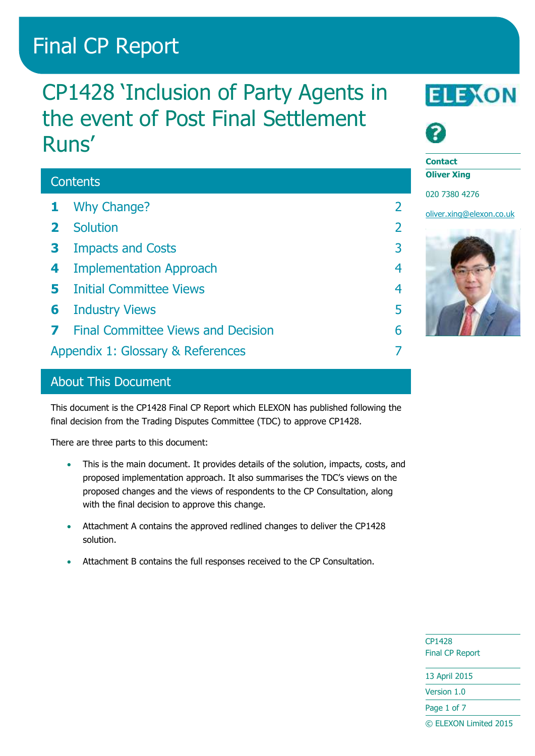# Final CP Report

# CP1428 'Inclusion of Party Agents in the event of Post Final Settlement Runs'

# **Contents**

- **1** [Why Change?](#page-1-0) 2
- **2** [Solution](#page-1-1) 2
- **3** [Impacts and Costs](#page-2-0) 3
- **4** [Implementation Approach](#page-3-0) 4
- **5** [Initial Committee Views](#page-3-1) 4
- **6** [Industry Views](#page-4-0) 5
- **7** [Final Committee Views and Decision](#page-5-0) 6
- [Appendix 1: Glossary & References](#page-6-0) 7

# About This Document

This document is the CP1428 Final CP Report which ELEXON has published following the final decision from the Trading Disputes Committee (TDC) to approve CP1428.

There are three parts to this document:

- This is the main document. It provides details of the solution, impacts, costs, and proposed implementation approach. It also summarises the TDC's views on the proposed changes and the views of respondents to the CP Consultation, along with the final decision to approve this change.
- Attachment A contains the approved redlined changes to deliver the CP1428 solution.
- Attachment B contains the full responses received to the CP Consultation.





**Contact**

**Oliver Xing**

020 7380 4276

[oliver.xing@elexon.co.uk](mailto:oliver.xing@elexon.co.uk)



CP1428 Final CP Report

13 April 2015

Version 1.0

Page 1 of 7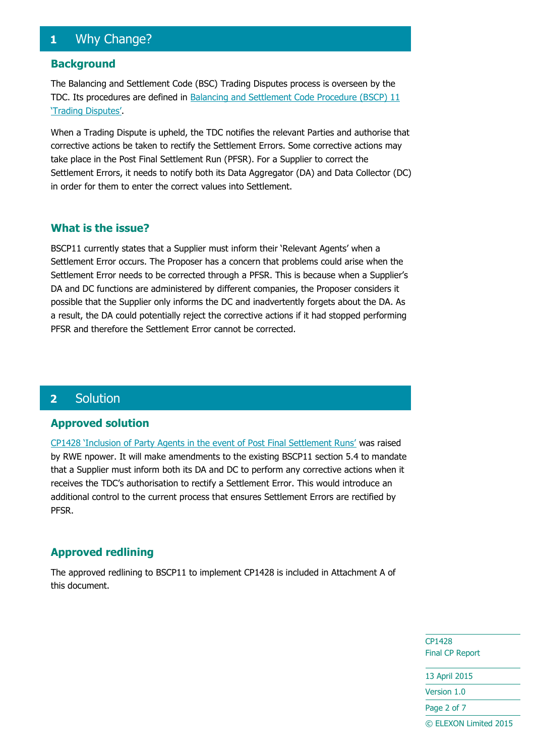# <span id="page-1-0"></span>**1** Why Change?

#### **Background**

The Balancing and Settlement Code (BSC) Trading Disputes process is overseen by the TDC. Its procedures are defined in [Balancing and Settlement Code Procedure \(BSCP\) 11](https://www.elexon.co.uk/bsc-related-documents/related-documents/bscps/)  ['Trading Disputes'](https://www.elexon.co.uk/bsc-related-documents/related-documents/bscps/).

When a Trading Dispute is upheld, the TDC notifies the relevant Parties and authorise that corrective actions be taken to rectify the Settlement Errors. Some corrective actions may take place in the Post Final Settlement Run (PFSR). For a Supplier to correct the Settlement Errors, it needs to notify both its Data Aggregator (DA) and Data Collector (DC) in order for them to enter the correct values into Settlement.

#### **What is the issue?**

BSCP11 currently states that a Supplier must inform their 'Relevant Agents' when a Settlement Error occurs. The Proposer has a concern that problems could arise when the Settlement Error needs to be corrected through a PFSR. This is because when a Supplier's DA and DC functions are administered by different companies, the Proposer considers it possible that the Supplier only informs the DC and inadvertently forgets about the DA. As a result, the DA could potentially reject the corrective actions if it had stopped performing PFSR and therefore the Settlement Error cannot be corrected.

# <span id="page-1-1"></span>**2** Solution

#### **Approved solution**

[CP1428 'Inclusion of Party Agents in the event of Post Final Settlement Runs'](https://www.elexon.co.uk/change-proposal/cp1428/) was raised by RWE npower. It will make amendments to the existing BSCP11 section 5.4 to mandate that a Supplier must inform both its DA and DC to perform any corrective actions when it receives the TDC's authorisation to rectify a Settlement Error. This would introduce an additional control to the current process that ensures Settlement Errors are rectified by PFSR.

#### **Approved redlining**

The approved redlining to BSCP11 to implement CP1428 is included in Attachment A of this document.

> CP1428 Final CP Report

13 April 2015

Version 1.0

Page 2 of 7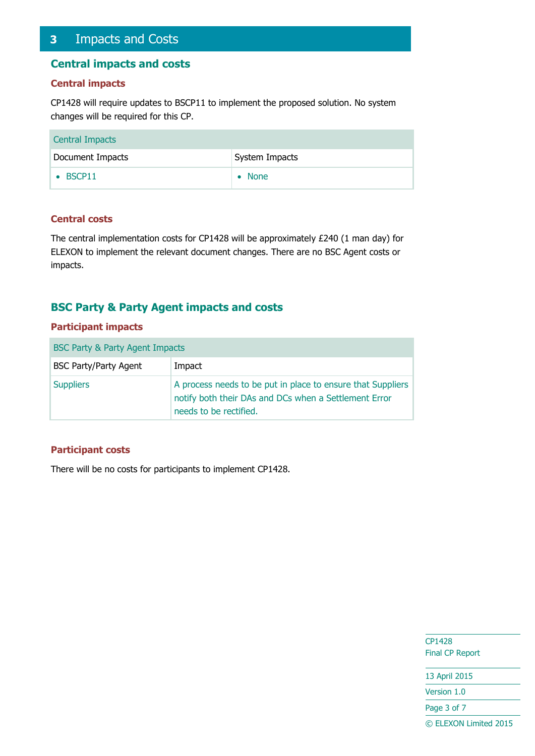# <span id="page-2-0"></span>**3** Impacts and Costs

#### **Central impacts and costs**

#### **Central impacts**

CP1428 will require updates to BSCP11 to implement the proposed solution. No system changes will be required for this CP.

| <b>Central Impacts</b> |                |
|------------------------|----------------|
| Document Impacts       | System Impacts |
| $\bullet$ BSCP11       | $\bullet$ None |

#### **Central costs**

The central implementation costs for CP1428 will be approximately £240 (1 man day) for ELEXON to implement the relevant document changes. There are no BSC Agent costs or impacts.

## **BSC Party & Party Agent impacts and costs**

#### **Participant impacts**

| <b>BSC Party &amp; Party Agent Impacts</b> |                                                                                                                                                |  |  |  |
|--------------------------------------------|------------------------------------------------------------------------------------------------------------------------------------------------|--|--|--|
| <b>BSC Party/Party Agent</b>               | Impact                                                                                                                                         |  |  |  |
| <b>Suppliers</b>                           | A process needs to be put in place to ensure that Suppliers<br>notify both their DAs and DCs when a Settlement Error<br>needs to be rectified. |  |  |  |

#### **Participant costs**

There will be no costs for participants to implement CP1428.

CP1428 Final CP Report

13 April 2015

Version 1.0

Page 3 of 7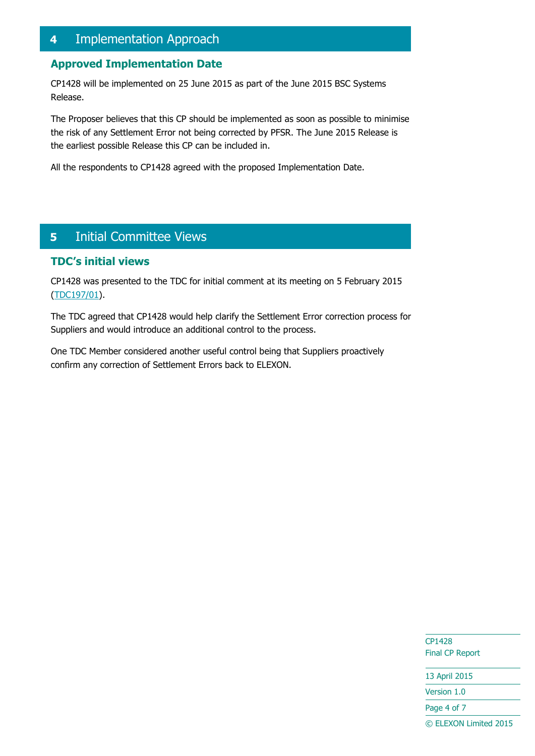# <span id="page-3-0"></span>**4** Implementation Approach

## **Approved Implementation Date**

CP1428 will be implemented on 25 June 2015 as part of the June 2015 BSC Systems Release.

The Proposer believes that this CP should be implemented as soon as possible to minimise the risk of any Settlement Error not being corrected by PFSR. The June 2015 Release is the earliest possible Release this CP can be included in.

All the respondents to CP1428 agreed with the proposed Implementation Date.

# <span id="page-3-1"></span>**5** Initial Committee Views

#### **TDC's initial views**

CP1428 was presented to the TDC for initial comment at its meeting on 5 February 2015 [\(TDC197/01\)](https://www.elexon.co.uk/meeting/tdc-197-2/).

The TDC agreed that CP1428 would help clarify the Settlement Error correction process for Suppliers and would introduce an additional control to the process.

One TDC Member considered another useful control being that Suppliers proactively confirm any correction of Settlement Errors back to ELEXON.

> CP1428 Final CP Report

13 April 2015 Version 1.0

Page 4 of 7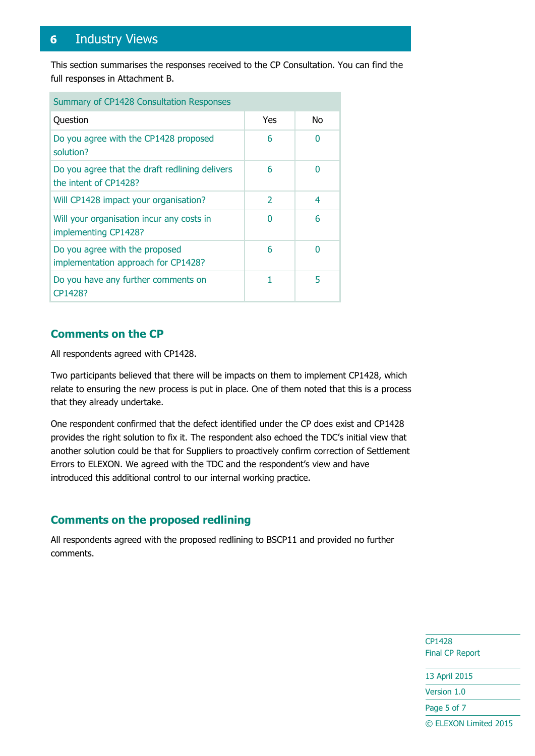# <span id="page-4-0"></span>**6** Industry Views

This section summarises the responses received to the CP Consultation. You can find the full responses in Attachment B.

| Summary of CP1428 Consultation Responses                                |                          |    |  |  |
|-------------------------------------------------------------------------|--------------------------|----|--|--|
| Question                                                                | Yes                      | No |  |  |
| Do you agree with the CP1428 proposed<br>solution?                      | 6                        | n  |  |  |
| Do you agree that the draft redlining delivers<br>the intent of CP1428? | 6                        | n  |  |  |
| Will CP1428 impact your organisation?                                   | $\overline{\phantom{a}}$ | 4  |  |  |
| Will your organisation incur any costs in<br>implementing CP1428?       | ŋ                        | 6  |  |  |
| Do you agree with the proposed<br>implementation approach for CP1428?   | 6                        | ∩  |  |  |
| Do you have any further comments on<br>CP1428?                          | 1                        | 5  |  |  |

## **Comments on the CP**

All respondents agreed with CP1428.

Two participants believed that there will be impacts on them to implement CP1428, which relate to ensuring the new process is put in place. One of them noted that this is a process that they already undertake.

One respondent confirmed that the defect identified under the CP does exist and CP1428 provides the right solution to fix it. The respondent also echoed the TDC's initial view that another solution could be that for Suppliers to proactively confirm correction of Settlement Errors to ELEXON. We agreed with the TDC and the respondent's view and have introduced this additional control to our internal working practice.

# **Comments on the proposed redlining**

All respondents agreed with the proposed redlining to BSCP11 and provided no further comments.

> CP1428 Final CP Report

13 April 2015

Version 1.0

Page 5 of 7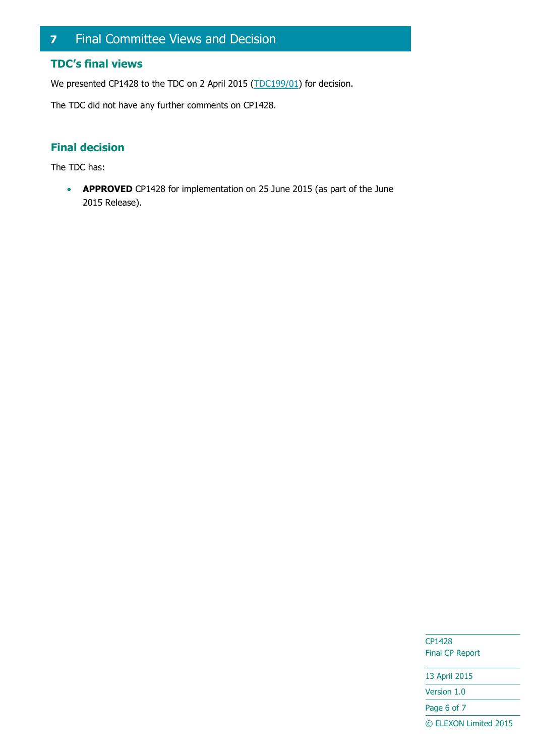# <span id="page-5-0"></span>**7** Final Committee Views and Decision

## **TDC's final views**

We presented CP1428 to the TDC on 2 April 2015 [\(TDC199/01\)](https://www.elexon.co.uk/meeting/tdc-199/) for decision.

The TDC did not have any further comments on CP1428.

# **Final decision**

The TDC has:

**APPROVED** CP1428 for implementation on 25 June 2015 (as part of the June 2015 Release).

> CP1428 Final CP Report

13 April 2015 Version 1.0 Page 6 of 7 © ELEXON Limited 2015